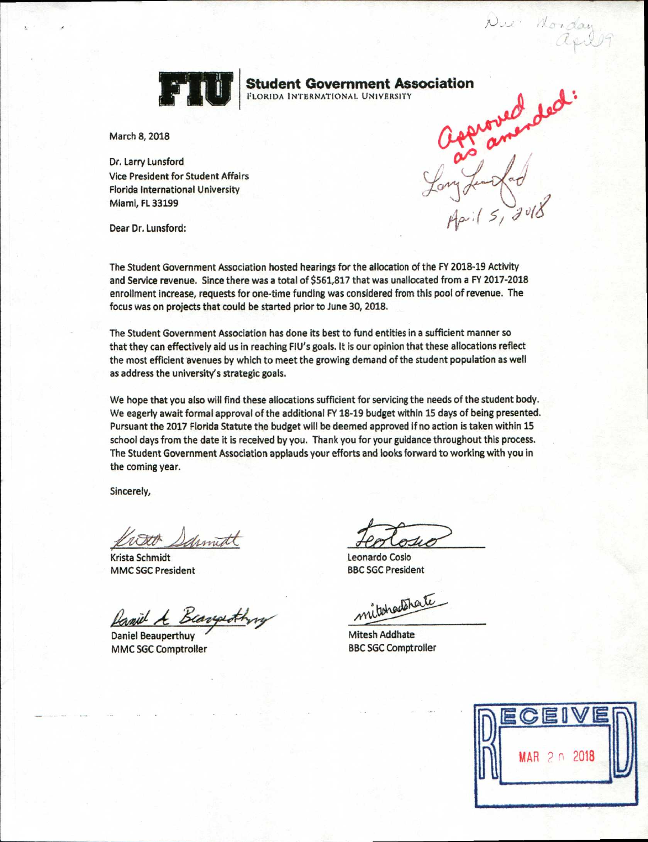

l'IORIDA INTERNATIONAL UNIVERSITY

March 8, 2018

Dr. Larry Lunsford Vice President for Student Affairs Florida International University Miami, FL 33199

Student Government Association<br>FLORIDA INTERNATIONAL UNIVERSITY<br>Cary Long Long Long Long 2012

Due Monday

Dear Dr, Lunsford:

The Student Government Association hosted hearings for the allocation of the FY 2018-19 Activity and Service revenue. Since there was a total of \$561,817 that was unallocated from a FY 2017-2018 enrollment increase, requests for one-time funding was considered from this pool of revenue. The focus was on projects that could be started prior to June 30, 2018.

The Student Government Association has done its best to fund entities in a sufficient manner so that they can effectively aid us in reaching FIU's goals. It is our opinion that these allocations reflect the most efficient avenues by which to meet the growing demand of the student population as well as address the university's strategic goals.

We hope that you also will find these allocations sufficient for servicing the needs of the student body. We eagerly await formal approval of the additional FY 18-19 budget within 15 days of being presented. Pursuant the 2017 Florida Statute the budget will be deemed approved if no action is taken within 15 school days from the date it is received by you. Thank you for your guidance throughout this process. The Student Government Association applauds your efforts and looks forward to working with you in the coming year.

Sincerely,

冰 Samuelt

Krista Schmidt Leonardo Cosio MMC SGC President BBC SGC President

*Paniel A Beaugusthrus* mitcheldhate

Daniel Beauperthuy MMC SGC Comptroller

Mitesh Addhate BBC SGC Comptroller